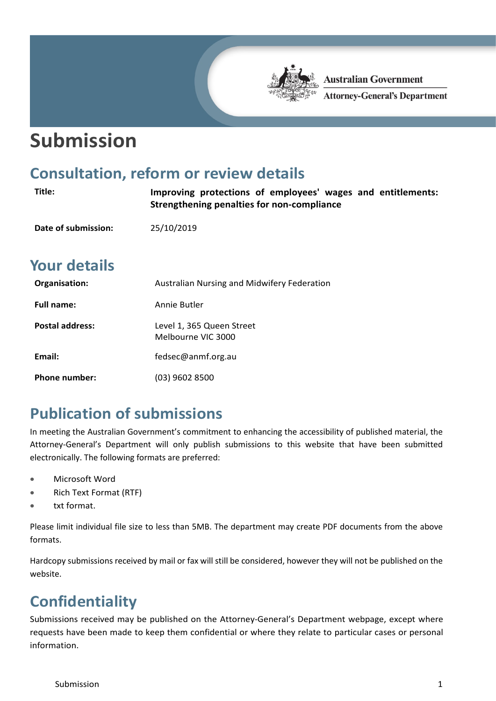# **Submission**

#### **Consultation, reform or review details**

| Title:                 | Improving protections of employees' wages and entitlements:<br>Strengthening penalties for non-compliance |
|------------------------|-----------------------------------------------------------------------------------------------------------|
| Date of submission:    | 25/10/2019                                                                                                |
| <b>Your details</b>    |                                                                                                           |
| Organisation:          | Australian Nursing and Midwifery Federation                                                               |
| <b>Full name:</b>      | Annie Butler                                                                                              |
| <b>Postal address:</b> | Level 1, 365 Queen Street<br>Melbourne VIC 3000                                                           |
| Email:                 | fedsec@anmf.org.au                                                                                        |
| <b>Phone number:</b>   | (03) 9602 8500                                                                                            |

**Australian Government** 

**Attorney-General's Department** 

### **Publication of submissions**

In meeting the Australian Government's commitment to enhancing the accessibility of published material, the Attorney-General's Department will only publish submissions to this website that have been submitted electronically. The following formats are preferred:

- Microsoft Word
- Rich Text Format (RTF)
- txt format.

Please limit individual file size to less than 5MB. The department may create PDF documents from the above formats.

Hardcopy submissions received by mail or fax will still be considered, however they will not be published on the website.

## **Confidentiality**

Submissions received may be published on the Attorney-General's Department webpage, except where requests have been made to keep them confidential or where they relate to particular cases or personal information.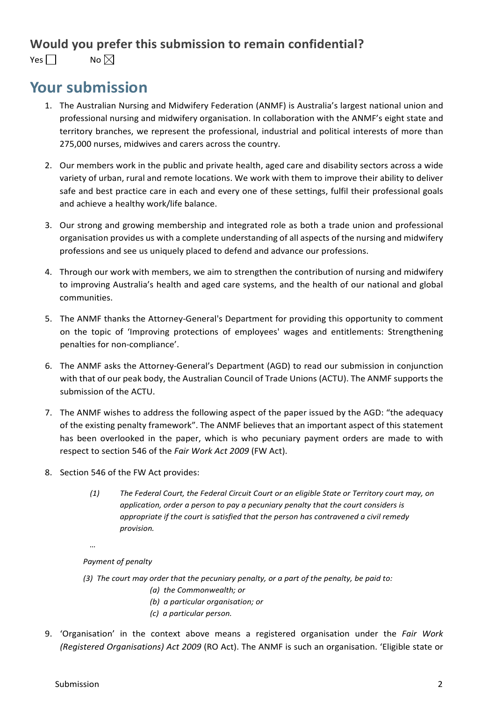#### **Would you prefer this submission to remain confidential?**

Yes  $\Box$  No  $\boxtimes$ 

#### **Your submission**

- 1. The Australian Nursing and Midwifery Federation (ANMF) is Australia's largest national union and professional nursing and midwifery organisation. In collaboration with the ANMF's eight state and territory branches, we represent the professional, industrial and political interests of more than 275,000 nurses, midwives and carers across the country.
- 2. Our members work in the public and private health, aged care and disability sectors across a wide variety of urban, rural and remote locations. We work with them to improve their ability to deliver safe and best practice care in each and every one of these settings, fulfil their professional goals and achieve a healthy work/life balance.
- 3. Our strong and growing membership and integrated role as both a trade union and professional organisation provides us with a complete understanding of all aspects of the nursing and midwifery professions and see us uniquely placed to defend and advance our professions.
- 4. Through our work with members, we aim to strengthen the contribution of nursing and midwifery to improving Australia's health and aged care systems, and the health of our national and global communities.
- 5. The ANMF thanks the Attorney-General's Department for providing this opportunity to comment on the topic of 'Improving protections of employees' wages and entitlements: Strengthening penalties for non-compliance'.
- 6. The ANMF asks the Attorney-General's Department (AGD) to read our submission in conjunction with that of our peak body, the Australian Council of Trade Unions (ACTU). The ANMF supports the submission of the ACTU.
- 7. The ANMF wishes to address the following aspect of the paper issued by the AGD: "the adequacy of the existing penalty framework". The ANMF believes that an important aspect of this statement has been overlooked in the paper, which is who pecuniary payment orders are made to with respect to section 546 of the *Fair Work Act 2009* (FW Act).
- 8. Section 546 of the FW Act provides:
	- *(1) The Federal Court, the Federal Circuit Court or an eligible State or Territory court may, on application, order a person to pay a pecuniary penalty that the court considers is appropriate if the court is satisfied that the person has contravened a civil remedy provision.*
	- *…*

#### *Payment of penalty*

- *(3) The court may order that the pecuniary penalty, or a part of the penalty, be paid to:*
	- *(a) the Commonwealth; or*
	- *(b) a particular organisation; or*
	- *(c) a particular person.*
- 9. 'Organisation' in the context above means a registered organisation under the *Fair Work (Registered Organisations) Act 2009* (RO Act). The ANMF is such an organisation. 'Eligible state or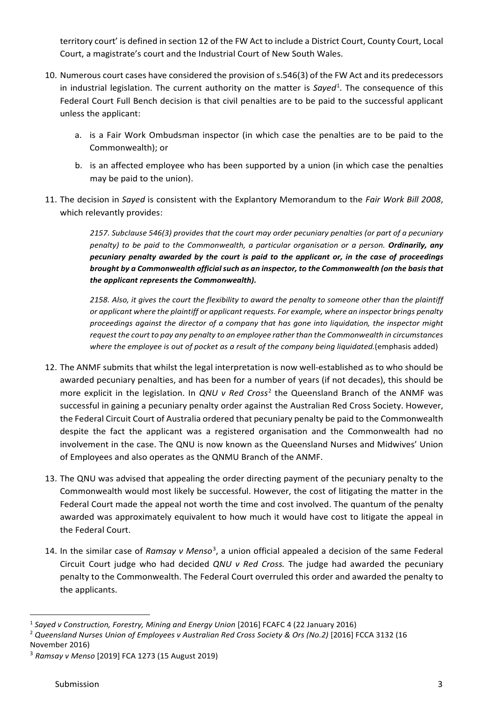territory court' is defined in section 12 of the FW Act to include a District Court, County Court, Local Court, a magistrate's court and the Industrial Court of New South Wales.

- 10. Numerous court cases have considered the provision of s.546(3) of the FW Act and its predecessors in industrial legislation. The current authority on the matter is Sayed<sup>[1](#page-2-0)</sup>. The consequence of this Federal Court Full Bench decision is that civil penalties are to be paid to the successful applicant unless the applicant:
	- a. is a Fair Work Ombudsman inspector (in which case the penalties are to be paid to the Commonwealth); or
	- b. is an affected employee who has been supported by a union (in which case the penalties may be paid to the union).
- 11. The decision in *Sayed* is consistent with the Explantory Memorandum to the *Fair Work Bill 2008*, which relevantly provides:

*2157. Subclause 546(3) provides that the court may order pecuniary penalties (or part of a pecuniary penalty) to be paid to the Commonwealth, a particular organisation or a person. Ordinarily, any pecuniary penalty awarded by the court is paid to the applicant or, in the case of proceedings brought by a Commonwealth official such as an inspector, to the Commonwealth (on the basis that the applicant represents the Commonwealth).*

*2158. Also, it gives the court the flexibility to award the penalty to someone other than the plaintiff or applicant where the plaintiff or applicant requests. For example, where an inspector brings penalty proceedings against the director of a company that has gone into liquidation, the inspector might request the court to pay any penalty to an employee rather than the Commonwealth in circumstances where the employee is out of pocket as a result of the company being liquidated.*(emphasis added)

- 12. The ANMF submits that whilst the legal interpretation is now well-established as to who should be awarded pecuniary penalties, and has been for a number of years (if not decades), this should be more explicit in the legislation. In *QNU v Red Cross*[2](#page-2-1) the Queensland Branch of the ANMF was successful in gaining a pecuniary penalty order against the Australian Red Cross Society. However, the Federal Circuit Court of Australia ordered that pecuniary penalty be paid to the Commonwealth despite the fact the applicant was a registered organisation and the Commonwealth had no involvement in the case. The QNU is now known as the Queensland Nurses and Midwives' Union of Employees and also operates as the QNMU Branch of the ANMF.
- 13. The QNU was advised that appealing the order directing payment of the pecuniary penalty to the Commonwealth would most likely be successful. However, the cost of litigating the matter in the Federal Court made the appeal not worth the time and cost involved. The quantum of the penalty awarded was approximately equivalent to how much it would have cost to litigate the appeal in the Federal Court.
- 14. In the similar case of Ramsay v Menso<sup>[3](#page-2-2)</sup>, a union official appealed a decision of the same Federal Circuit Court judge who had decided *QNU v Red Cross.* The judge had awarded the pecuniary penalty to the Commonwealth. The Federal Court overruled this order and awarded the penalty to the applicants.

<span id="page-2-0"></span> <sup>1</sup> *Sayed v Construction, Forestry, Mining and Energy Union* [2016] FCAFC <sup>4</sup> (22 January 2016)

<span id="page-2-1"></span><sup>&</sup>lt;sup>2</sup> Queensland Nurses Union of Employees v Australian Red Cross Society & Ors (No.2) [2016] FCCA 3132 (16 November 2016)

<span id="page-2-2"></span><sup>3</sup> *Ramsay v Menso* [2019] FCA 1273 (15 August 2019)